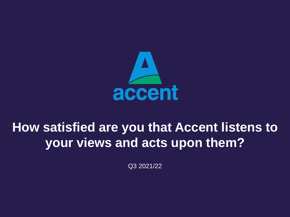

Q3 2021/22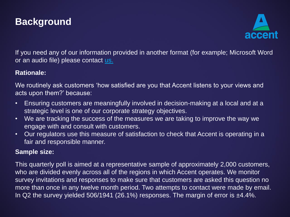



If you need any of our information provided in another format (for example; Microsoft Word or an audio file) please contact [us.](mailto:customerservice@accentgroup.org)

### **Rationale:**

We routinely ask customers 'how satisfied are you that Accent listens to your views and acts upon them?' because:

- Ensuring customers are meaningfully involved in decision-making at a local and at a strategic level is one of our corporate strategy objectives.
- We are tracking the success of the measures we are taking to improve the way we engage with and consult with customers.
- Our regulators use this measure of satisfaction to check that Accent is operating in a fair and responsible manner.

#### **Sample size:**

This quarterly poll is aimed at a representative sample of approximately 2,000 customers, who are divided evenly across all of the regions in which Accent operates. We monitor survey invitations and responses to make sure that customers are asked this question no more than once in any twelve month period. Two attempts to contact were made by email. In Q2 the survey yielded 506/1941 (26.1%) responses. The margin of error is  $\pm$ 4.4%.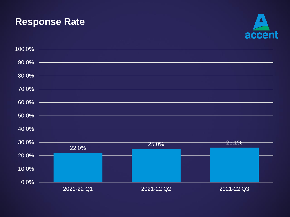### **Response Rate**



| 100.0%   |            |            |            |
|----------|------------|------------|------------|
| 90.0%    |            |            |            |
| 80.0%    |            |            |            |
| 70.0%    |            |            |            |
| 60.0%    |            |            |            |
| 50.0%    |            |            |            |
| 40.0%    |            |            |            |
| 30.0%    | 22.0%      | 25.0%      | 26.1%      |
| 20.0%    |            |            |            |
| $10.0\%$ |            |            |            |
| $0.0\%$  | 2021-22 Q1 | 2021-22 Q2 | 2021-22 Q3 |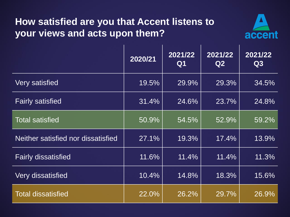

|                                    | 2020/21 | 2021/22<br>Q1 | 2021/22<br>Q2 | 2021/22<br>Q3 |
|------------------------------------|---------|---------------|---------------|---------------|
| <b>Very satisfied</b>              | 19.5%   | 29.9%         | 29.3%         | 34.5%         |
| <b>Fairly satisfied</b>            | 31.4%   | 24.6%         | 23.7%         | 24.8%         |
| <b>Total satisfied</b>             | 50.9%   | 54.5%         | 52.9%         | 59.2%         |
| Neither satisfied nor dissatisfied | 27.1%   | 19.3%         | 17.4%         | 13.9%         |
| <b>Fairly dissatisfied</b>         | 11.6%   | 11.4%         | 11.4%         | 11.3%         |
| <b>Very dissatisfied</b>           | 10.4%   | 14.8%         | 18.3%         | 15.6%         |
| <b>Total dissatisfied</b>          | 22.0%   | 26.2%         | 29.7%         | 26.9%         |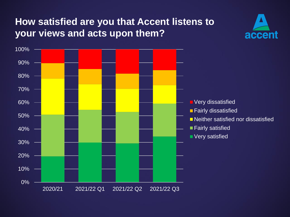

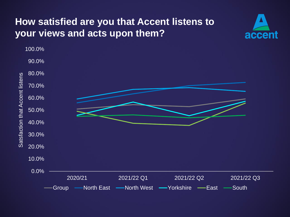

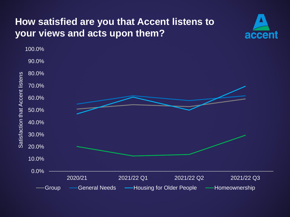

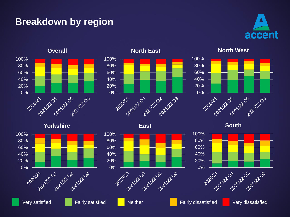### **Breakdown by region**







**North East**



**East**



**North West**



**South**

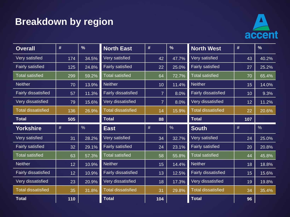## **Breakdown by region**



| <b>Overall</b>            | #    | $\frac{9}{6}$ | <b>North East</b>          | #              | $\frac{9}{6}$ | <b>North West</b>         | #   | $\frac{0}{6}$ |
|---------------------------|------|---------------|----------------------------|----------------|---------------|---------------------------|-----|---------------|
| Very satisfied            | 174  | 34.5%         | Very satisfied             | 42             | 47.7%         | Very satisfied            | 43  | 40.2%         |
| <b>Fairly satisfied</b>   | 125  | 24.8%         | <b>Fairly satisfied</b>    | 22             | 25.0%         | <b>Fairly satisfied</b>   | 27  | 25.2%         |
| <b>Total satisfied</b>    | 299  | 59.2%         | <b>Total satisfied</b>     | 64             | 72.7%         | <b>Total satisfied</b>    | 70  | 65.4%         |
| <b>Neither</b>            | 70   | 13.9%         | <b>Neither</b>             | 10             | 11.4%         | <b>Neither</b>            | 15  | 14.0%         |
| Fairly dissatisfied       | 57   | 11.3%         | <b>Fairly dissatisfied</b> | $\overline{7}$ | 8.0%          | Fairly dissatisfied       | 10  | 9.3%          |
| Very dissatisfied         | 79   | 15.6%         | Very dissatisfied          | $\overline{7}$ | 8.0%          | Very dissatisfied         | 12  | 11.2%         |
| <b>Total dissatisfied</b> | 136  | 26.9%         | <b>Total dissatisfied</b>  | 14             | 15.9%         | <b>Total dissatisfied</b> | 22  | 20.6%         |
| <b>Total</b>              | 505  |               | <b>Total</b>               | 88             |               | <b>Total</b>              | 107 |               |
|                           |      |               |                            |                |               |                           |     |               |
| <b>Yorkshire</b>          | $\#$ | $\frac{0}{0}$ | <b>East</b>                | $\#$           | $\frac{0}{0}$ | <b>South</b>              | #   | $\frac{0}{0}$ |
| Very satisfied            | 31   | 28.2%         | Very satisfied             | 34             | 32.7%         | Very satisfied            | 24  | 25.0%         |
| <b>Fairly satisfied</b>   | 32   | 29.1%         | <b>Fairly satisfied</b>    | 24             | 23.1%         | <b>Fairly satisfied</b>   | 20  | 20.8%         |
| <b>Total satisfied</b>    | 63   | 57.3%         | <b>Total satisfied</b>     | 58             | 55.8%         | <b>Total satisfied</b>    | 44  | 45.8%         |
| <b>Neither</b>            | 12   | 10.9%         | <b>Neither</b>             | 15             | 14.4%         | <b>Neither</b>            | 18  | 18.8%         |
| Fairly dissatisfied       | 12   | 10.9%         | Fairly dissatisfied        | 13             | 12.5%         | Fairly dissatisfied       | 15  | 15.6%         |
| Very dissatisfied         | 23   | 20.9%         | Very dissatisfied          | 18             | 17.3%         | Very dissatisfied         | 19  | 19.8%         |
| <b>Total dissatisfied</b> | 35   | 31.8%         | <b>Total dissatisfied</b>  | 31             | 29.8%         | <b>Total dissatisfied</b> | 34  | 35.4%         |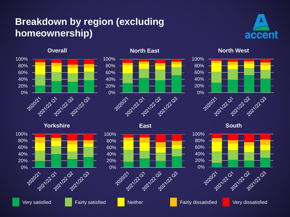### **Breakdown by region (excluding homeownership)**





#### **North East**



#### **East**



**North West**



**South**





40% 60% 80% 100%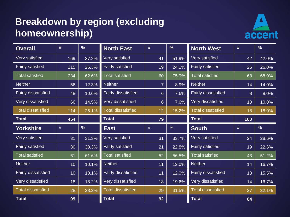### **Breakdown by region (excluding homeownership)**



| <b>Overall</b>            | #    | $\frac{9}{6}$ | <b>North East</b>          | #              | $\frac{9}{6}$ | <b>North West</b>          | #    | $\frac{9}{6}$ |
|---------------------------|------|---------------|----------------------------|----------------|---------------|----------------------------|------|---------------|
| Very satisfied            | 169  | 37.2%         | Very satisfied             | 41             | 51.9%         | Very satisfied             | 42   | 42.0%         |
| <b>Fairly satisfied</b>   | 115  | 25.3%         | <b>Fairly satisfied</b>    | 19             | 24.1%         | <b>Fairly satisfied</b>    | 26   | 26.0%         |
| <b>Total satisfied</b>    | 284  | 62.6%         | <b>Total satisfied</b>     | 60             | 75.9%         | <b>Total satisfied</b>     | 68   | 68.0%         |
| <b>Neither</b>            | 56   | 12.3%         | <b>Neither</b>             | $\overline{7}$ | 8.9%          | <b>Neither</b>             | 14   | 14.0%         |
| Fairly dissatisfied       | 48   | 10.6%         | Fairly dissatisfied        | $6\phantom{.}$ | 7.6%          | <b>Fairly dissatisfied</b> | 8    | 8.0%          |
| Very dissatisfied         | 66   | 14.5%         | Very dissatisfied          | $6\phantom{1}$ | 7.6%          | Very dissatisfied          | 10   | 10.0%         |
| <b>Total dissatisfied</b> | 114  | 25.1%         | <b>Total dissatisfied</b>  | 12             | 15.2%         | <b>Total dissatisfied</b>  | 18   | 18.0%         |
| <b>Total</b>              | 454  |               | <b>Total</b>               | 79             |               | <b>Total</b>               | 100  |               |
|                           |      |               |                            |                |               |                            |      |               |
| <b>Yorkshire</b>          | $\#$ | $\frac{0}{0}$ | <b>East</b>                | $\#$           | %             | <b>South</b>               | $\#$ | $\frac{0}{0}$ |
| Very satisfied            | 31   | 31.3%         | Very satisfied             | 31             | 33.7%         | Very satisfied             | 24   | 28.6%         |
| <b>Fairly satisfied</b>   | 30   | 30.3%         | <b>Fairly satisfied</b>    | 21             | 22.8%         | <b>Fairly satisfied</b>    | 19   | 22.6%         |
| <b>Total satisfied</b>    | 61   | 61.6%         | <b>Total satisfied</b>     | 52             | 56.5%         | <b>Total satisfied</b>     | 43   | 51.2%         |
| <b>Neither</b>            | 10   | 10.1%         | <b>Neither</b>             | 11             | 12.0%         | <b>Neither</b>             | 14   | 16.7%         |
| Fairly dissatisfied       | 10   | 10.1%         | <b>Fairly dissatisfied</b> | 11             | 12.0%         | Fairly dissatisfied        | 13   | 15.5%         |
| Very dissatisfied         | 18   | 18.2%         | Very dissatisfied          | 18             | 19.6%         | Very dissatisfied          | 14   | 16.7%         |
| <b>Total dissatisfied</b> | 28   | 28.3%         | <b>Total dissatisfied</b>  | 29             | 31.5%         | <b>Total dissatisfied</b>  | 27   | 32.1%         |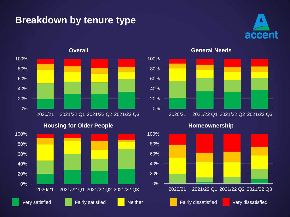### **Breakdown by tenure type**





**Housing for Older People**





**General Needs**

**Homeownership**

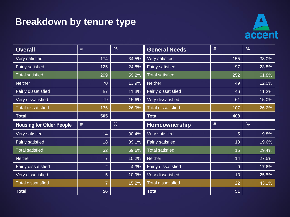### **Breakdown by tenure type**



| <b>Overall</b>                  | #               | $\frac{9}{6}$ | <b>General Needs</b>       | #    | $\frac{9}{6}$ |
|---------------------------------|-----------------|---------------|----------------------------|------|---------------|
| Very satisfied                  | 174             | 34.5%         | Very satisfied             | 155  | 38.0%         |
| <b>Fairly satisfied</b>         | 125             | 24.8%         | <b>Fairly satisfied</b>    | 97   | 23.8%         |
| <b>Total satisfied</b>          | 299             | 59.2%         | <b>Total satisfied</b>     | 252  | 61.8%         |
| <b>Neither</b>                  | 70              | 13.9%         | <b>Neither</b>             | 49   | 12.0%         |
| Fairly dissatisfied             | 57              | 11.3%         | Fairly dissatisfied        | 46   | 11.3%         |
| Very dissatisfied               | 79              | 15.6%         | Very dissatisfied          | 61   | 15.0%         |
| <b>Total dissatisfied</b>       | 136             | 26.9%         | <b>Total dissatisfied</b>  | 107  | 26.2%         |
| <b>Total</b>                    | 505             |               | <b>Total</b>               | 408  |               |
|                                 |                 |               |                            |      |               |
| <b>Housing for Older People</b> | $\#$            | $\frac{0}{0}$ | Homeownership              | $\#$ | $\frac{0}{6}$ |
| Very satisfied                  | 14              | 30.4%         | Very satisfied             | 5    | 9.8%          |
| <b>Fairly satisfied</b>         | 18              | 39.1%         | <b>Fairly satisfied</b>    | 10   | 19.6%         |
| <b>Total satisfied</b>          | 32              | 69.6%         | <b>Total satisfied</b>     | 15   | 29.4%         |
| <b>Neither</b>                  | $\overline{7}$  | 15.2%         | <b>Neither</b>             | 14   | 27.5%         |
| <b>Fairly dissatisfied</b>      | 2               | 4.3%          | <b>Fairly dissatisfied</b> | 9    | 17.6%         |
| Very dissatisfied               | $5\overline{)}$ | 10.9%         | Very dissatisfied          | 13   | 25.5%         |
| <b>Total dissatisfied</b>       | $\overline{7}$  | 15.2%         | <b>Total dissatisfied</b>  | 22   | 43.1%         |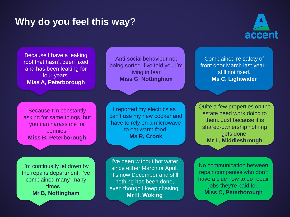

Because I have a leaking roof that hasn't been fixed and has been leaking for four years. **Miss A, Peterborough**

Anti-social behaviour not being sorted. I've told you I'm living in fear. **Miss G, Nottingham**

Because I'm constantly asking for same things, but you can harass me for pennies. **Miss B, Peterborough**

I reported my electrics as I can't use my new cooker and have to rely on a microwave to eat warm food. **Ms R, Crook**

I'm continually let down by the repairs department. I've complained many, many times… **Mr B, Nottingham**

I've been without hot water since either March or April. It's now December and still nothing has been done, even though I keep chasing. **Mr H, Woking**

Complained re safety of front door March last year still not fixed. **Ms C, Lightwater**

Quite a few properties on the estate need work doing to them. Just because it is shared-ownership nothing gets done. **Mr L, Middlesbrough**

No communication between repair companies who don't have a clue how to do repair jobs they're paid for. **Miss C, Peterborough**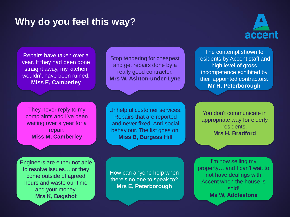

Repairs have taken over a year. If they had been done straight away, my kitchen wouldn't have been ruined. **Miss E, Camberley**

Stop tendering for cheapest and get repairs done by a really good contractor. **Mrs W, Ashton-under-Lyne**

The contempt shown to residents by Accent staff and high level of gross incompetence exhibited by their appointed contractors. **Mr H, Peterborough**

They never reply to my complaints and I've been waiting over a year for a repair. **Miss M, Camberley**

Unhelpful customer services. Repairs that are reported and never fixed. Anti-social behaviour. The list goes on. **Miss B, Burgess Hill**

You don't communicate in appropriate way for elderly residents. **Mrs H, Bradford**

Engineers are either not able to resolve issues… or they come outside of agreed hours and waste our time and your money. **Mrs K, Bagshot**

How can anyone help when there's no one to speak to? **Mrs E, Peterborough**

I'm now selling my property… and I can't wait to not have dealings with Accent when the house is sold! **Ms W, Addlestone**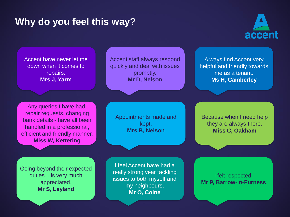

Accent have never let me down when it comes to repairs. **Mrs J, Yarm**

Accent staff always respond quickly and deal with issues promptly. **Mr D, Nelson**

Always find Accent very helpful and friendly towards me as a tenant. **Ms H, Camberley**

Any queries I have had, repair requests, changing bank details - have all been handled in a professional, efficient and friendly manner. **Miss W, Kettering**

Appointments made and kept. **Mrs B, Nelson**

Because when I need help they are always there. **Miss C, Oakham**

Going beyond their expected duties... is very much appreciated. **Mr S, Leyland**

I feel Accent have had a really strong year tackling issues to both myself and my neighbours. **Mr O, Colne**

I felt respected. **Mr P, Barrow-in-Furness**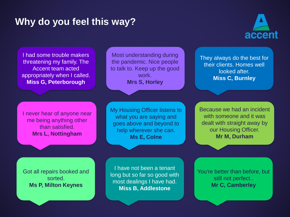

I had some trouble makers threatening my family. The Accent team acted appropriately when I called. **Miss G, Peterborough**

Most understanding during the pandemic. Nice people to talk to. Keep up the good work. **Mrs S, Horley**

They always do the best for their clients. Homes well looked after. **Miss C, Burnley**

I never hear of anyone near me being anything other than satisfied. **Mrs L, Nottingham**

My Housing Officer listens to what you are saying and goes above and beyond to help wherever she can. **Ms E, Colne**

Because we had an incident with someone and it was dealt with straight away by our Housing Officer. **Mr M, Durham**

Got all repairs booked and sorted. **Ms P, Milton Keynes**

I have not been a tenant long but so far so good with most dealings I have had. **Miss B, Addlestone**

You're better than before, but still not perfect.. **Mr C, Camberley**